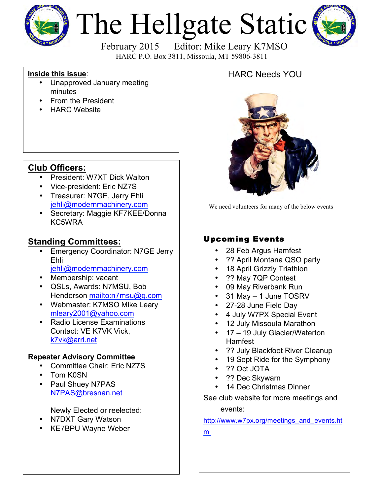

# The Hellgate Static



HARC P.O. Box 3811, Missoula, MT 59806-3811

#### **Inside this issue**:

- Unapproved January meeting minutes
- From the President
- **HARC Website**

### **Club Officers:**

- President: W7XT Dick Walton
- Vice-president: Eric NZ7S
- Treasurer: N7GE, Jerry Ehli jehli@modernmachinery.com
- Secretary: Maggie KF7KEE/Donna KC5WRA

#### **Standing Committees:**

- Emergency Coordinator: N7GE Jerry Ehli jehli@modernmachinery.com
- Membership: vacant
- QSLs, Awards: N7MSU, Bob Henderson mailto:n7msu@q.com
- Webmaster: K7MSO Mike Leary mleary2001@yahoo.com
- Radio License Examinations Contact: VE K7VK Vick, k7vk@arrl.net

#### **Repeater Advisory Committee**

- Committee Chair: Eric NZ7S
- Tom K0SN
- Paul Shuey N7PAS N7PAS@bresnan.net

Newly Elected or reelected:

- N7DXT Gary Watson
- KE7BPU Wayne Weber

## HARC Needs YOU



We need volunteers for many of the below events

## Upcoming Events

- 28 Feb Argus Hamfest
- ?? April Montana QSO party
- 18 April Grizzly Triathlon
- ?? May 7QP Contest
- 09 May Riverbank Run
- 31 May 1 June TOSRV
- 27-28 June Field Day
- 4 July W7PX Special Event
- 12 July Missoula Marathon
- 17 19 July Glacier/Waterton Hamfest
- ?? July Blackfoot River Cleanup
- 19 Sept Ride for the Symphony
- ?? Oct JOTA
- ?? Dec Skywarn
- 14 Dec Christmas Dinner

See club website for more meetings and events:

http://www.w7px.org/meetings\_and\_events.ht

ml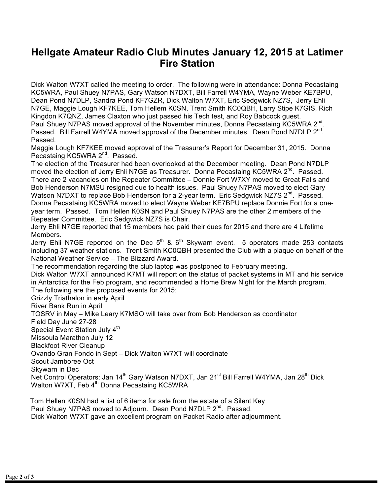## **Hellgate Amateur Radio Club Minutes January 12, 2015 at Latimer Fire Station**

Dick Walton W7XT called the meeting to order. The following were in attendance: Donna Pecastaing KC5WRA, Paul Shuey N7PAS, Gary Watson N7DXT, Bill Farrell W4YMA, Wayne Weber KE7BPU, Dean Pond N7DLP, Sandra Pond KF7GZR, Dick Walton W7XT, Eric Sedgwick NZ7S, Jerry Ehli N7GE, Maggie Lough KF7KEE, Tom Hellem K0SN, Trent Smith KC0QBH, Larry Stipe K7GIS, Rich Kingdon K7QNZ, James Claxton who just passed his Tech test, and Roy Babcock guest.

Paul Shuey N7PAS moved approval of the November minutes, Donna Pecastaing KC5WRA 2<sup>nd</sup>. Passed. Bill Farrell W4YMA moved approval of the December minutes. Dean Pond N7DLP 2<sup>nd</sup>. Passed.

Maggie Lough KF7KEE moved approval of the Treasurer's Report for December 31, 2015. Donna Pecastaing KC5WRA 2<sup>nd</sup>. Passed.

The election of the Treasurer had been overlooked at the December meeting. Dean Pond N7DLP moved the election of Jerry Ehli N7GE as Treasurer. Donna Pecastaing KC5WRA 2<sup>nd</sup>. Passed. There are 2 vacancies on the Repeater Committee – Donnie Fort W7XY moved to Great Falls and Bob Henderson N7MSU resigned due to health issues. Paul Shuey N7PAS moved to elect Gary Watson N7DXT to replace Bob Henderson for a 2-year term. Eric Sedgwick NZ7S 2<sup>nd</sup>. Passed. Donna Pecastaing KC5WRA moved to elect Wayne Weber KE7BPU replace Donnie Fort for a oneyear term. Passed. Tom Hellen K0SN and Paul Shuey N7PAS are the other 2 members of the Repeater Committee. Eric Sedgwick NZ7S is Chair.

Jerry Ehli N7GE reported that 15 members had paid their dues for 2015 and there are 4 Lifetime Members.

Jerry Ehli N7GE reported on the Dec  $5<sup>th</sup>$  &  $6<sup>th</sup>$  Skywarn event. 5 operators made 253 contacts including 37 weather stations. Trent Smith KC0QBH presented the Club with a plaque on behalf of the National Weather Service – The Blizzard Award.

The recommendation regarding the club laptop was postponed to February meeting. Dick Walton W7XT announced K7MT will report on the status of packet systems in MT and his service in Antarctica for the Feb program, and recommended a Home Brew Night for the March program. The following are the proposed events for 2015:

Grizzly Triathalon in early April

River Bank Run in April

TOSRV in May – Mike Leary K7MSO will take over from Bob Henderson as coordinator

Field Day June 27-28

Special Event Station July 4<sup>th</sup>

Missoula Marathon July 12

Blackfoot River Cleanup

Ovando Gran Fondo in Sept – Dick Walton W7XT will coordinate

Scout Jamboree Oct

Skywarn in Dec

Net Control Operators: Jan 14<sup>th</sup> Gary Watson N7DXT, Jan 21<sup>st</sup> Bill Farrell W4YMA, Jan 28<sup>th</sup> Dick Walton W7XT, Feb 4<sup>th</sup> Donna Pecastaing KC5WRA

Tom Hellen K0SN had a list of 6 items for sale from the estate of a Silent Key Paul Shuey N7PAS moved to Adjourn. Dean Pond N7DLP 2<sup>nd</sup>. Passed. Dick Walton W7XT gave an excellent program on Packet Radio after adjournment.